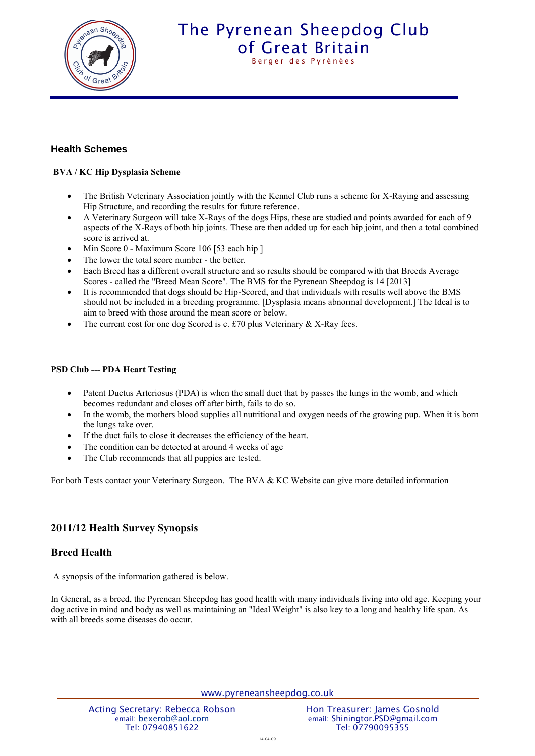

# The Pyrenean Sheepdog Club [of Great Britain](http://www.pyreneansheepdog.co.uk/index.htm) Berger des Pyrénées

### **Health Schemes**

#### **BVA / KC Hip Dysplasia Scheme**

- The British Veterinary Association jointly with the Kennel Club runs a scheme for X-Raying and assessing Hip Structure, and recording the results for future reference.
- A Veterinary Surgeon will take X-Rays of the dogs Hips, these are studied and points awarded for each of 9 aspects of the X-Rays of both hip joints. These are then added up for each hip joint, and then a total combined score is arrived at.
- Min Score 0 Maximum Score 106 [53 each hip ]
- The lower the total score number the better.
- Each Breed has a different overall structure and so results should be compared with that Breeds Average Scores - called the "Breed Mean Score". The BMS for the Pyrenean Sheepdog is 14 [2013]
- It is recommended that dogs should be Hip-Scored, and that individuals with results well above the BMS should not be included in a breeding programme. [Dysplasia means abnormal development.] The Ideal is to aim to breed with those around the mean score or below.
- The current cost for one dog Scored is c.  $£70$  plus Veterinary & X-Ray fees.

#### **PSD Club --- PDA Heart Testing**

- Patent Ductus Arteriosus (PDA) is when the small duct that by passes the lungs in the womb, and which becomes redundant and closes off after birth, fails to do so.
- In the womb, the mothers blood supplies all nutritional and oxygen needs of the growing pup. When it is born the lungs take over.
- If the duct fails to close it decreases the efficiency of the heart.
- The condition can be detected at around 4 weeks of age
- The Club recommends that all puppies are tested.

For both Tests contact your Veterinary Surgeon. The BVA & KC Website can give more detailed information

### **2011/12 Health Survey Synopsis**

### **Breed Health**

A synopsis of the information gathered is below.

In General, as a breed, the Pyrenean Sheepdog has good health with many individuals living into old age. Keeping your dog active in mind and body as well as maintaining an "Ideal Weight" is also key to a long and healthy life span. As with all breeds some diseases do occur.

www.pyreneansheepdog.co.uk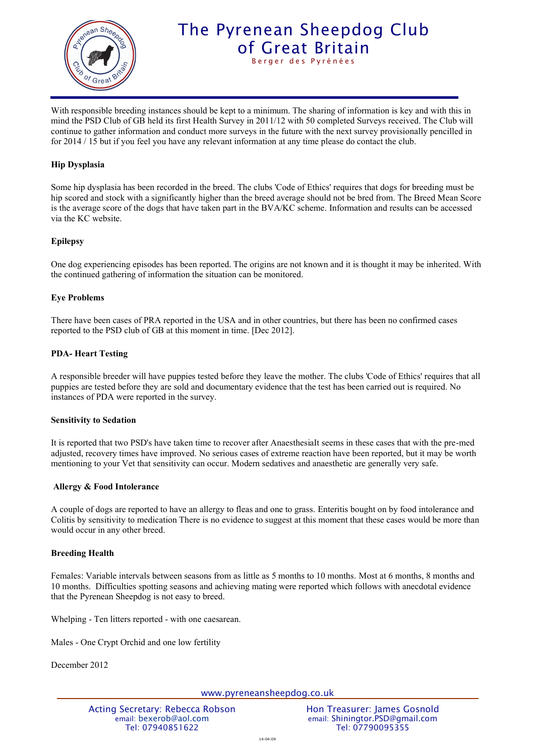

# The Pyrenean Sheepdog Club [of Great Britain](http://www.pyreneansheepdog.co.uk/index.htm) Berger des Pyrénées

With responsible breeding instances should be kept to a minimum. The sharing of information is key and with this in mind the PSD Club of GB held its first Health Survey in 2011/12 with 50 completed Surveys received. The Club will continue to gather information and conduct more surveys in the future with the next survey provisionally pencilled in for 2014 / 15 but if you feel you have any relevant information at any time please do contact the club.

#### **Hip Dysplasia**

Some hip dysplasia has been recorded in the breed. The clubs 'Code of Ethics' requires that dogs for breeding must be hip scored and stock with a significantly higher than the breed average should not be bred from. The Breed Mean Score is the average score of the dogs that have taken part in the BVA/KC scheme. Information and results can be accessed via the KC website.

#### **Epilepsy**

One dog experiencing episodes has been reported. The origins are not known and it is thought it may be inherited. With the continued gathering of information the situation can be monitored.

#### **Eye Problems**

There have been cases of PRA reported in the USA and in other countries, but there has been no confirmed cases reported to the PSD club of GB at this moment in time. [Dec 2012].

#### **PDA- Heart Testing**

A responsible breeder will have puppies tested before they leave the mother. The clubs 'Code of Ethics' requires that all puppies are tested before they are sold and documentary evidence that the test has been carried out is required. No instances of PDA were reported in the survey.

#### **Sensitivity to Sedation**

It is reported that two PSD's have taken time to recover after AnaesthesiaIt seems in these cases that with the pre-med adjusted, recovery times have improved. No serious cases of extreme reaction have been reported, but it may be worth mentioning to your Vet that sensitivity can occur. Modern sedatives and anaesthetic are generally very safe.

#### **Allergy & Food Intolerance**

A couple of dogs are reported to have an allergy to fleas and one to grass. Enteritis bought on by food intolerance and Colitis by sensitivity to medication There is no evidence to suggest at this moment that these cases would be more than would occur in any other breed.

#### **Breeding Health**

Females: Variable intervals between seasons from as little as 5 months to 10 months. Most at 6 months, 8 months and 10 months. Difficulties spotting seasons and achieving mating were reported which follows with anecdotal evidence that the Pyrenean Sheepdog is not easy to breed.

Whelping - Ten litters reported - with one caesarean.

Males - One Crypt Orchid and one low fertility

December 2012

www.pyreneansheepdog.co.uk